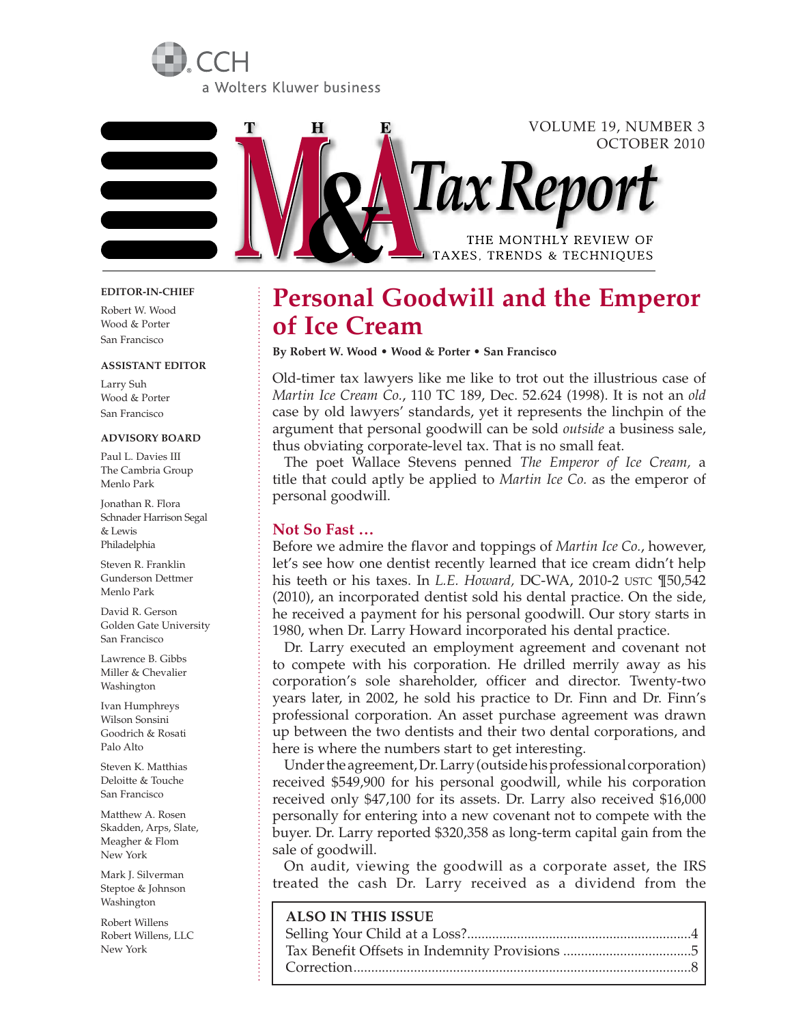



#### **EDITOR-IN-CHIEF**

Robert W. Wood Wood & Porter San Francisco

#### **ASSISTANT EDITOR**

Larry Suh Wood & Porter San Francisco

#### **ADVISORY BOARD**

Paul L. Davies III The Cambria Group Menlo Park

Jonathan R. Flora Schnader Harrison Segal & Lewis Philadelphia

Steven R. Franklin Gunderson Dettmer Menlo Park

David R. Gerson Golden Gate University San Francisco

Lawrence B. Gibbs Miller & Chevalier Washington

Ivan Humphreys Wilson Sonsini Goodrich & Rosati Palo Alto

Steven K. Matthias Deloitte & Touche San Francisco

Matthew A. Rosen Skadden, Arps, Slate, Meagher & Flom New York

Mark J. Silverman Steptoe & Johnson Washington

Robert Willens Robert Willens, LLC New York

# **Personal Goodwill and the Emperor of Ice Cream**

**By Robert W. Wood • Wood & Porter • San Francisco**

Old-timer tax lawyers like me like to trot out the illustrious case of *Martin Ice Cream Co.*, 110 TC 189, Dec. 52.624 (1998). It is not an *old* case by old lawyers' standards, yet it represents the linchpin of the argument that personal goodwill can be sold *outside* a business sale, thus obviating corporate-level tax. That is no small feat.

The poet Wallace Stevens penned *The Emperor of Ice Cream,* a title that could aptly be applied to *Martin Ice Co.* as the emperor of personal goodwill.

### **Not So Fast …**

Before we admire the flavor and toppings of *Martin Ice Co.*, however, let's see how one dentist recently learned that ice cream didn't help his teeth or his taxes. In *L.E. Howard,* DC-WA, 2010-2 USTC ¶50,542 (2010), an incorporated dentist sold his dental practice. On the side, he received a payment for his personal goodwill. Our story starts in 1980, when Dr. Larry Howard incorporated his dental practice.

Dr. Larry executed an employment agreement and covenant not to compete with his corporation. He drilled merrily away as his corporation's sole shareholder, officer and director. Twenty-two years later, in 2002, he sold his practice to Dr. Finn and Dr. Finn's professional corporation. An asset purchase agreement was drawn up between the two dentists and their two dental corporations, and here is where the numbers start to get interesting.

Under the agreement, Dr. Larry (outside his professional corporation) received \$549,900 for his personal goodwill, while his corporation received only \$47,100 for its assets. Dr. Larry also received \$16,000 personally for entering into a new covenant not to compete with the buyer. Dr. Larry reported \$320,358 as long-term capital gain from the sale of goodwill.

On audit, viewing the goodwill as a corporate asset, the IRS treated the cash Dr. Larry received as a dividend from the

## **ALSO IN THIS ISSUE**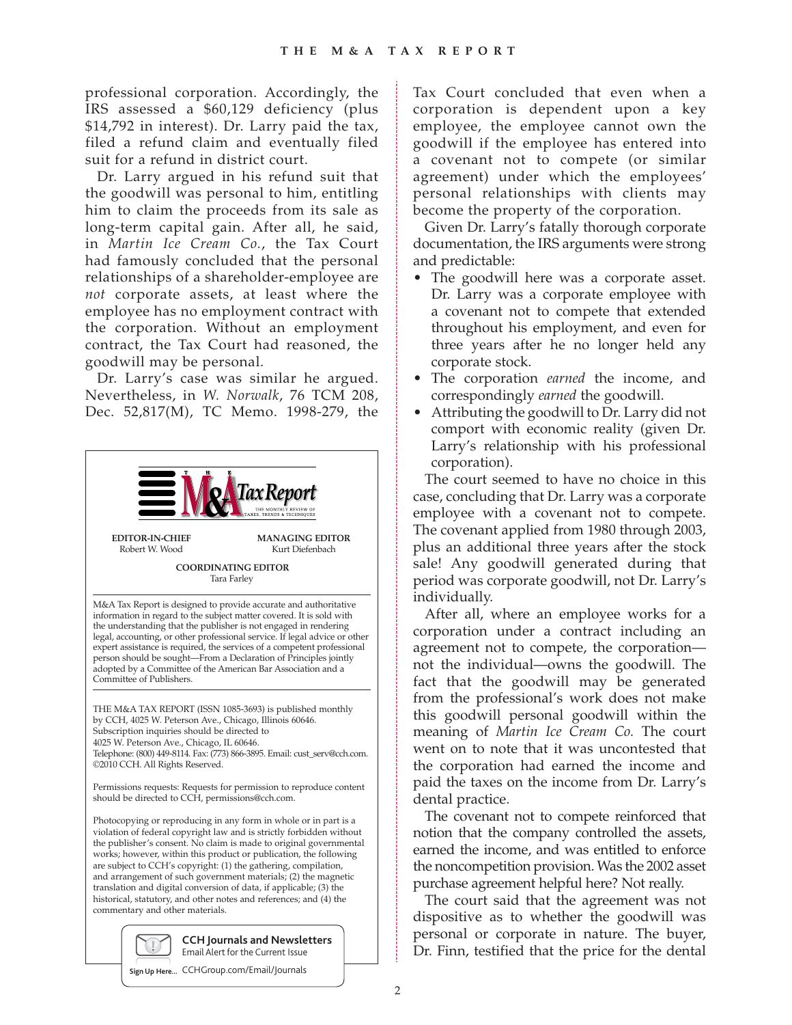professional corporation. Accordingly, the IRS assessed a \$60,129 deficiency (plus \$14,792 in interest). Dr. Larry paid the tax, filed a refund claim and eventually filed suit for a refund in district court.

Dr. Larry argued in his refund suit that the goodwill was personal to him, entitling him to claim the proceeds from its sale as long-term capital gain. After all, he said, in *Martin Ice Cream Co.*, the Tax Court had famously concluded that the personal relationships of a shareholder-employee are *not* corporate assets, at least where the employee has no employment contract with the corporation. Without an employment contract, the Tax Court had reasoned, the goodwill may be personal.

Dr. Larry's case was similar he argued. Nevertheless, in *W. Norwalk*, 76 TCM 208, Dec. 52,817(M), TC Memo. 1998-279, the



Permissions requests: Requests for permission to reproduce content should be directed to CCH, permissions@cch.com.

Photocopying or reproducing in any form in whole or in part is a violation of federal copyright law and is strictly forbidden without the publisher's consent. No claim is made to original governmental works; however, within this product or publication, the following are subject to CCH's copyright: (1) the gathering, compilation, and arrangement of such government materials; (2) the magnetic translation and digital conversion of data, if applicable; (3) the historical, statutory, and other notes and references; and (4) the commentary and other materials.



**Sign Up Here...** CCHGroup.com/Email/Journals

Tax Court concluded that even when a corporation is dependent upon a key employee, the employee cannot own the goodwill if the employee has entered into a covenant not to compete (or similar agreement) under which the employees' personal relationships with clients may become the property of the corporation.

Given Dr. Larry's fatally thorough corporate documentation, the IRS arguments were strong and predictable:

- The goodwill here was a corporate asset. Dr. Larry was a corporate employee with a covenant not to compete that extended throughout his employment, and even for three years after he no longer held any corporate stock.
- The corporation *earned* the income, and correspondingly *earned* the goodwill.
- Attributing the goodwill to Dr. Larry did not comport with economic reality (given Dr. Larry's relationship with his professional corporation).

The court seemed to have no choice in this case, concluding that Dr. Larry was a corporate employee with a covenant not to compete. The covenant applied from 1980 through 2003, plus an additional three years after the stock sale! Any goodwill generated during that period was corporate goodwill, not Dr. Larry's individually.

After all, where an employee works for a corporation under a contract including an agreement not to compete, the corporation not the individual—owns the goodwill. The fact that the goodwill may be generated from the professional's work does not make this goodwill personal goodwill within the meaning of *Martin Ice Cream Co.* The court went on to note that it was uncontested that the corporation had earned the income and paid the taxes on the income from Dr. Larry's dental practice.

The covenant not to compete reinforced that notion that the company controlled the assets, earned the income, and was entitled to enforce the noncompetition provision. Was the 2002 asset purchase agreement helpful here? Not really.

The court said that the agreement was not dispositive as to whether the goodwill was personal or corporate in nature. The buyer, Dr. Finn, testified that the price for the dental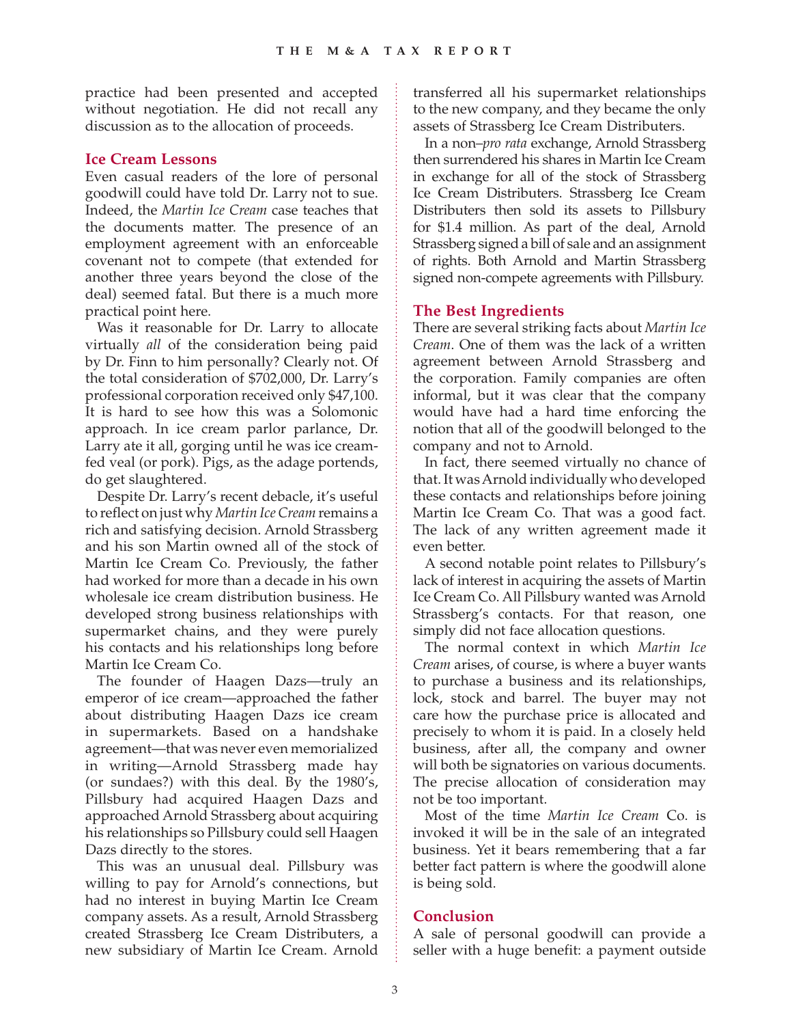practice had been presented and accepted without negotiation. He did not recall any discussion as to the allocation of proceeds.

## **Ice Cream Lessons**

Even casual readers of the lore of personal goodwill could have told Dr. Larry not to sue. Indeed, the *Martin Ice Cream* case teaches that the documents matter. The presence of an employment agreement with an enforceable covenant not to compete (that extended for another three years beyond the close of the deal) seemed fatal. But there is a much more practical point here.

Was it reasonable for Dr. Larry to allocate virtually *all* of the consideration being paid by Dr. Finn to him personally? Clearly not. Of the total consideration of \$702,000, Dr. Larry's professional corporation received only \$47,100. It is hard to see how this was a Solomonic approach. In ice cream parlor parlance, Dr. Larry ate it all, gorging until he was ice creamfed veal (or pork). Pigs, as the adage portends, do get slaughtered.

Despite Dr. Larry's recent debacle, it's useful to reflect on just why *Martin Ice Cream* remains a rich and satisfying decision. Arnold Strassberg and his son Martin owned all of the stock of Martin Ice Cream Co. Previously, the father had worked for more than a decade in his own wholesale ice cream distribution business. He developed strong business relationships with supermarket chains, and they were purely his contacts and his relationships long before Martin Ice Cream Co.

The founder of Haagen Dazs—truly an emperor of ice cream—approached the father about distributing Haagen Dazs ice cream in supermarkets. Based on a handshake agreement—that was never even memorialized in writing—Arnold Strassberg made hay (or sundaes?) with this deal. By the 1980's, Pillsbury had acquired Haagen Dazs and approached Arnold Strassberg about acquiring his relationships so Pillsbury could sell Haagen Dazs directly to the stores.

This was an unusual deal. Pillsbury was willing to pay for Arnold's connections, but had no interest in buying Martin Ice Cream company assets. As a result, Arnold Strassberg created Strassberg Ice Cream Distributers, a new subsidiary of Martin Ice Cream. Arnold transferred all his supermarket relationships to the new company, and they became the only assets of Strassberg Ice Cream Distributers.

In a non–*pro rata* exchange, Arnold Strassberg then surrendered his shares in Martin Ice Cream in exchange for all of the stock of Strassberg Ice Cream Distributers. Strassberg Ice Cream Distributers then sold its assets to Pillsbury for \$1.4 million. As part of the deal, Arnold Strassberg signed a bill of sale and an assignment of rights. Both Arnold and Martin Strassberg signed non-compete agreements with Pillsbury.

# **The Best Ingredients**

There are several striking facts about *Martin Ice Cream*. One of them was the lack of a written agreement between Arnold Strassberg and the corporation. Family companies are often informal, but it was clear that the company would have had a hard time enforcing the notion that all of the goodwill belonged to the company and not to Arnold.

In fact, there seemed virtually no chance of that. It was Arnold individually who developed these contacts and relationships before joining Martin Ice Cream Co. That was a good fact. The lack of any written agreement made it even better.

A second notable point relates to Pillsbury's lack of interest in acquiring the assets of Martin Ice Cream Co. All Pillsbury wanted was Arnold Strassberg's contacts. For that reason, one simply did not face allocation questions.

The normal context in which *Martin Ice Cream* arises, of course, is where a buyer wants to purchase a business and its relationships, lock, stock and barrel. The buyer may not care how the purchase price is allocated and precisely to whom it is paid. In a closely held business, after all, the company and owner will both be signatories on various documents. The precise allocation of consideration may not be too important.

Most of the time *Martin Ice Cream* Co. is invoked it will be in the sale of an integrated business. Yet it bears remembering that a far better fact pattern is where the goodwill alone is being sold.

# **Conclusion**

A sale of personal goodwill can provide a seller with a huge benefit: a payment outside